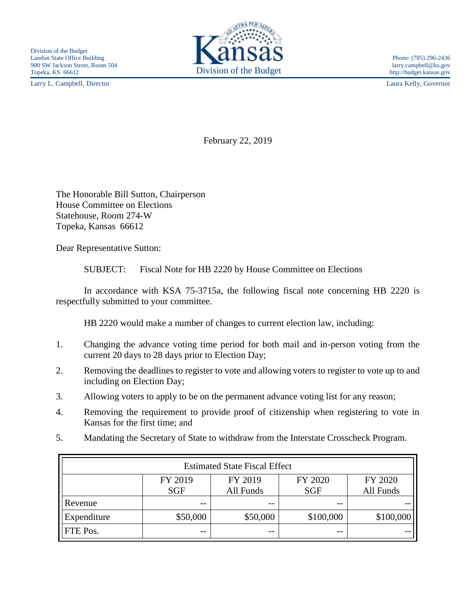Larry L. Campbell, Director Laura Kelly, Governor



February 22, 2019

The Honorable Bill Sutton, Chairperson House Committee on Elections Statehouse, Room 274-W Topeka, Kansas 66612

Dear Representative Sutton:

SUBJECT: Fiscal Note for HB 2220 by House Committee on Elections

In accordance with KSA 75-3715a, the following fiscal note concerning HB 2220 is respectfully submitted to your committee.

HB 2220 would make a number of changes to current election law, including:

- 1. Changing the advance voting time period for both mail and in-person voting from the current 20 days to 28 days prior to Election Day;
- 2. Removing the deadlines to register to vote and allowing voters to register to vote up to and including on Election Day;
- 3. Allowing voters to apply to be on the permanent advance voting list for any reason;
- 4. Removing the requirement to provide proof of citizenship when registering to vote in Kansas for the first time; and
- 5. Mandating the Secretary of State to withdraw from the Interstate Crosscheck Program.

| <b>Estimated State Fiscal Effect</b> |                       |                      |                       |                      |
|--------------------------------------|-----------------------|----------------------|-----------------------|----------------------|
|                                      | FY 2019<br><b>SGF</b> | FY 2019<br>All Funds | FY 2020<br><b>SGF</b> | FY 2020<br>All Funds |
| Revenue                              | --                    |                      | $- -$                 |                      |
| Expenditure                          | \$50,000              | \$50,000             | \$100,000             | \$100,000            |
| <b>FTE</b> Pos.                      | $- -$                 | $- -$                | $- -$                 |                      |